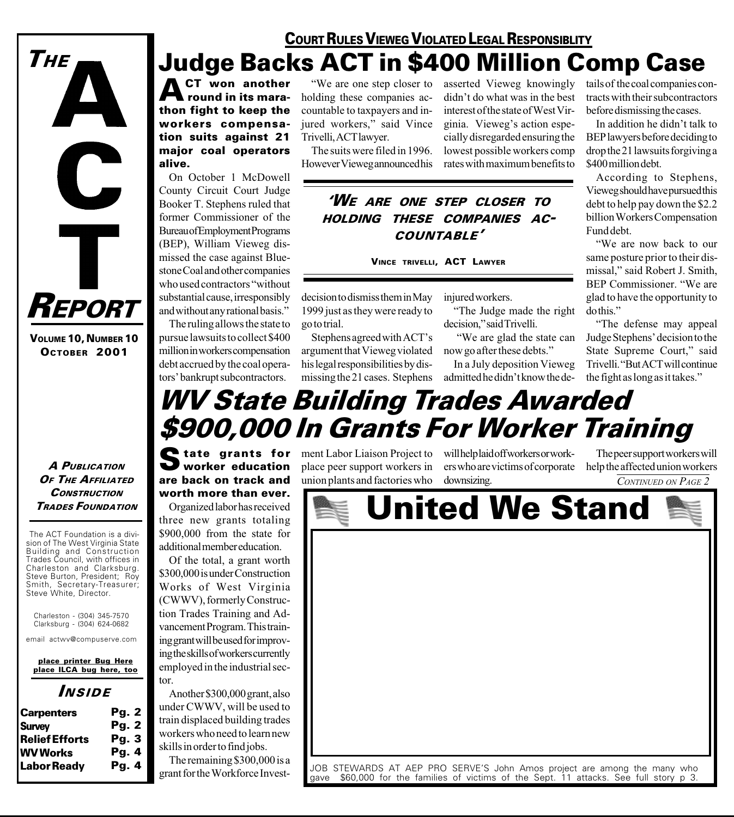

VOLUME 10, NUMBER 10 OCTOBER 2001

#### A PUBLICATION OF THE AFFILIATED **CONSTRUCTION TRADES FOUNDATION**

The ACT Foundation is a division of The West Virginia State Building and Construction Trades Council, with offices in Charleston and Clarksburg. Steve Burton, President; Roy Smith, Secretary-Treasurer; Steve White, Director.

Charleston - (304) 345-7570 Clarksburg - (304) 624-0682

email actwv@compuserve.com

place printer Bug Here place ILCA bug here, too

#### INSIDE

| <b>Carpenters</b>     | Pg. 2        |
|-----------------------|--------------|
| <b>Survey</b>         | Pg. 2        |
| <b>Relief Efforts</b> | Pq.3         |
| <b>WV</b> Works       | Pg.4         |
| <b>Labor Ready</b>    | <b>Pg. 4</b> |

## COURT RULES VIEWEG VIOLATED LEGAL RESPONSIBLITY Judge Backs ACT in \$400 Million Comp Case

CT won another round in its marathon fight to keep the workers compensation suits against 21 major coal operators alive.

On October 1 McDowell County Circuit Court Judge Booker T. Stephens ruled that former Commissioner of the Bureau of Employment Programs (BEP), William Vieweg dismissed the case against Bluestone Coal and other companies who used contractors "without substantial cause, irresponsibly and without any rational basis.

The ruling allows the state to pursue lawsuits to collect \$400 million in workers compensation debt accrued by the coal operators' bankrupt subcontractors.

We are one step closer to holding these companies accountable to taxpayers and injured workers," said Vince Trivelli, ACT lawyer.

The suits were filed in 1996. However Vieweg announced his asserted Vieweg knowingly didn't do what was in the best interest of the state of West Virginia. Vieweg's action especially disregarded ensuring the lowest possible workers comp rates with maximum benefits to

WE ARE ONE STEP CLOSER TO HOLDING THESE COMPANIES AC-COUNTABLE

VINCE TRIVELLI, ACT LAWYER

decision to dismiss them in May 1999 just as they were ready to go to trial.

Stephens agreed with ACT's argument that Vieweg violated his legal responsibilities by dismissing the 21 cases. Stephens injured workers.

The Judge made the right decision," said Trivelli.

 We are glad the state can now go after these debts.

In a July deposition Vieweg admitted he didn't know the de-

tails of the coal companies contracts with their subcontractors before dismissing the cases.

In addition he didn't talk to BEP lawyers before deciding to drop the 21 lawsuits forgiving a \$400 million debt.

According to Stephens, Vieweg should have pursued this debt to help pay down the \$2.2 billion Workers Compensation Fund debt.

We are now back to our same posture prior to their dismissal," said Robert J. Smith, BEP Commissioner. We are glad to have the opportunity to do this.

The defense may appeal Judge Stephens' decision to the State Supreme Court," said Trivelli. "But ACT will continue the fight as long as it takes.

## WV State Building Trades Awarded \$900,000 In Grants For Worker Training

worker education are back on track and worth more than ever.

Organized labor has received three new grants totaling \$900,000 from the state for additional member education.

Of the total, a grant worth \$300,000 is under Construction Works of West Virginia (CWWV), formerly Construction Trades Training and Advancement Program. This training grant will be used for improving the skills of workers currently employed in the industrial sector.

Another \$300,000 grant, also under CWWV, will be used to train displaced building trades workers who need to learn new skills in order to find jobs.

The remaining \$300,000 is a grant for the Workforce Investplace peer support workers in union plants and factories who

State grants for ment Labor Liaison Project to will help laid off workers or work-<br>
worker education place peer support workers in ers who are victims of corporate ers who are victims of corporate help the affected union workers downsizing.

The peer support workers will CONTINUED ON PAGE 2

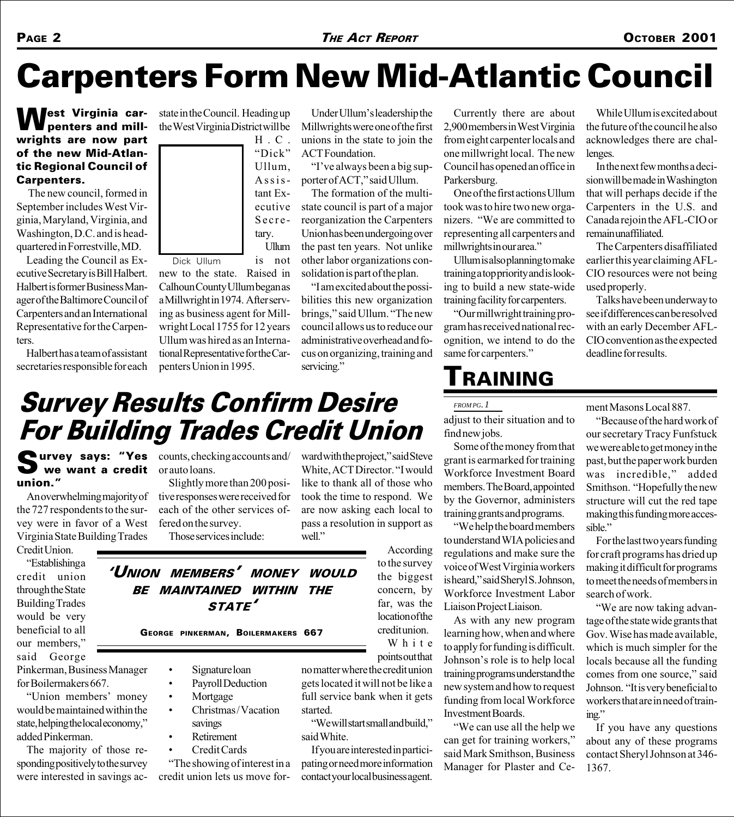# Carpenters Form New Mid-Atlantic Council

#### West Virginia carpenters and millwrights are now part of the new Mid-Atlantic Regional Council of Carpenters.

 The new council, formed in September includes West Virginia, Maryland, Virginia, and Washington, D.C. and is headquartered in Forrestville, MD.

Leading the Council as Executive Secretary is Bill Halbert. Halbert is former Business Manager of the Baltimore Council of Carpenters and an International Representative for the Carpenters.

Halbert has a team of assistant secretaries responsible for each

state in the Council. Heading up the West Virginia District will be



is not new to the state. Raised in Calhoun County Ullum began as a Millwright in 1974. After serving as business agent for Millwright Local 1755 for 12 years Ullum was hired as an International Representative for the Carpenters Union in 1995. Dick Ullum

Under Ullum's leadership the Millwrights were one of the first unions in the state to join the ACT Foundation.

"I've always been a big supporter of ACT," said Ullum.

The formation of the multistate council is part of a major reorganization the Carpenters Union has been undergoing over the past ten years. Not unlike other labor organizations consolidation is part of the plan.

I am excited about the possibilities this new organization brings," said Ullum. "The new council allows us to reduce our administrative overhead and focus on organizing, training and servicing."

Currently there are about 2,900 members in West Virginia from eight carpenter locals and one millwright local. The new Council has opened an office in Parkersburg.

One of the first actions Ullum took was to hire two new organizers. We are committed to representing all carpenters and millwrights in our area.

Ullum is also planning to make training a top priority and is looking to build a new state-wide training facility for carpenters.

Our millwright training program has received national recognition, we intend to do the same for carpenters."

## TRAINING

*FROM PG. 1*

adjust to their situation and to find new jobs.

Some of the money from that grant is earmarked for training Workforce Investment Board members. The Board, appointed by the Governor, administers training grants and programs.

We help the board members to understand WIA policies and regulations and make sure the voice of West Virginia workers is heard," said Sheryl S. Johnson, Workforce Investment Labor Liaison Project Liaison.

learning how, when and where to apply for funding is difficult. Johnson's role is to help local training programs understand the new system and how to request funding from local Workforce Investment Boards.

can get for training workers, said Mark Smithson, Business Manager for Plaster and Ce-

While Ullum is excited about the future of the council he also acknowledges there are challenges.

In the next few months a decision will be made in Washington that will perhaps decide if the Carpenters in the U.S. and Canada rejoin the AFL-CIO or remain unaffiliated.

The Carpenters disaffiliated earlier this year claiming AFL-CIO resources were not being used properly.

Talks have been underway to see if differences can be resolved with an early December AFL-CIO convention as the expected deadline for results.

# Survey Results Confirm Desire For Building Trades Credit Union

Survey says: "Yes counts, checking accounts and/<br>
we want a credit or auto loans. we want a credit union.

An overwhelming majority of the 727 respondents to the survey were in favor of a West Virginia State Building Trades

Credit Union. Establishing a

credit union through the State Building Trades would be very beneficial to all our members, said George

Pinkerman, Business Manager for Boilermakers 667.

"Union members' money would be maintained within the state, helping the local economy, added Pinkerman.

The majority of those responding positively to the survey were interested in savings acor auto loans.

Slightly more than 200 positive responses were received for each of the other services offered on the survey. Those services include:

ward with the project," said Steve White, ACT Director. "I would like to thank all of those who took the time to respond. We are now asking each local to pass a resolution in support as well."

'UNION MEMBERS' MONEY WOULD BE MAINTAINED WITHIN THE STATE

- 
- 
- 
- 
- Retirement
- Credit Cards

The showing of interest in a credit union lets us move forAccording

As with any new program

We can use all the help we

ment Masons Local 887.

Because of the hard work of our secretary Tracy Funfstuck we were able to get money in the past, but the paper work burden was incredible," added Smithson. "Hopefully the new structure will cut the red tape making this funding more accessible."

For the last two years funding for craft programs has dried up making it difficult for programs to meet the needs of members in search of work.

We are now taking advantage of the state wide grants that Gov. Wise has made available, which is much simpler for the locals because all the funding comes from one source," said Johnson. "It is very beneficial to workers that are in need of training.

If you have any questions about any of these programs contact Sheryl Johnson at 346- 1367.

GEORGE PINKERMAN, BOILERMAKERS 667

- Signature loan
- Payroll Deduction
- Mortgage
- Christmas/Vacation
- savings
- -

to the survey the biggest credit union.

concern, by far, was the location of the White

points out that

no matter where the credit union gets located it will not be like a full service bank when it gets started.

"We will start small and build." said White.

If you are interested in participating or need more information contact your local business agent.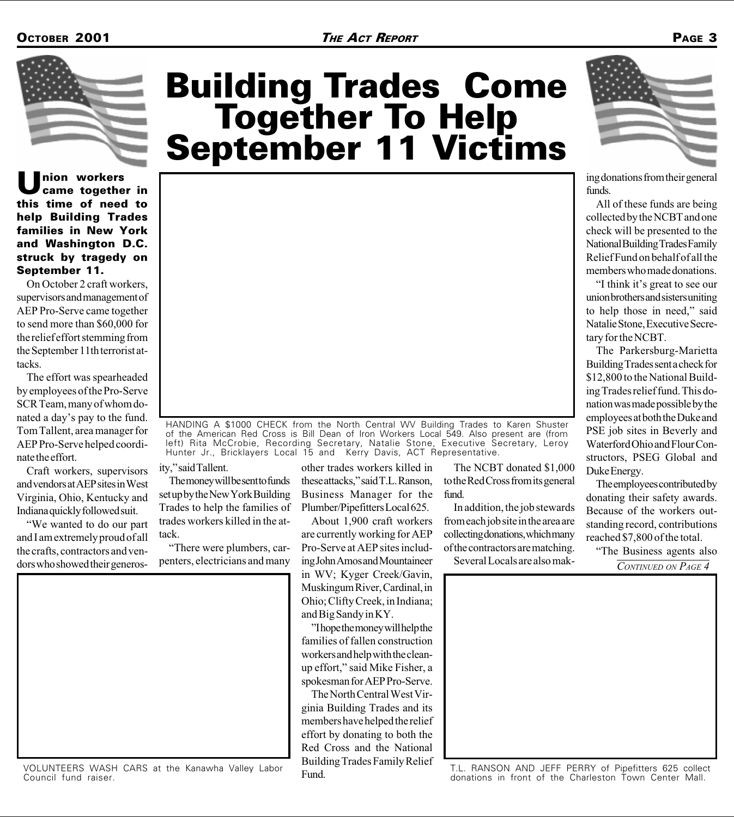

nion workers came together in this time of need to help Building Trades families in New York and Washington D.C. struck by tragedy on September 11.

On October 2 craft workers, supervisors and management of AEP Pro-Serve came together to send more than \$60,000 for the relief effort stemming from the September 11th terrorist attacks.

The effort was spearheaded by employees of the Pro-Serve SCR Team, many of whom donated a day's pay to the fund. Tom Tallent, area manager for AEP Pro-Serve helped coordinate the effort.

Craft workers, supervisors and vendors at AEP sites in West Virginia, Ohio, Kentucky and Indiana quickly followed suit.

We wanted to do our part and I am extremely proud of all the crafts, contractors and vendors who showed their generos-

# Building Trades Come<br>Together To Help<br>September 11 Victims



HANDING A \$1000 CHECK from the North Central WV Building Trades to Karen Shuster of the American Red Cross is Bill Dean of Iron Workers Local 549. Also present are (from left) Rita McCrobie, Recording Secretary, Natalie Stone, Executive Secretary, Leroy Hunter Jr., Bricklayers Local 15 and Kerry Davis, ACT Representative.

ity," said Tallent.

The money will be sent to funds set up by the New York Building Trades to help the families of trades workers killed in the attack.

There were plumbers, carpenters, electricians and many

other trades workers killed in these attacks," said T.L. Ranson, Business Manager for the Plumber/Pipefitters Local 625.

About 1,900 craft workers are currently working for AEP Pro-Serve at AEP sites including John Amos and Mountaineer in WV; Kyger Creek/Gavin, Muskingum River, Cardinal, in Ohio; Clifty Creek, in Indiana; and Big Sandy in KY.

''I hope the money will help the families of fallen construction workers and help with the cleanup effort," said Mike Fisher, a spokesman for AEP Pro-Serve.

The North Central West Virginia Building Trades and its members have helped the relief effort by donating to both the Red Cross and the National Building Trades Family Relief Fund.

The NCBT donated \$1,000 to the Red Cross from its general fund.

In addition, the job stewards from each job site in the area are collecting donations, which many of the contractors are matching.

Several Locals are also mak-<br> $\overline{CONTINVED}$  on PAGE 4



ing donations from their general funds.

All of these funds are being collected by the NCBT and one check will be presented to the National Building Trades Family Relief Fund on behalf of all the members who made donations.

"I think it's great to see our union brothers and sisters uniting to help those in need," said Natalie Stone, Executive Secretary for the NCBT.

The Parkersburg-Marietta Building Trades sent a check for \$12,800 to the National Building Trades relief fund. This donation was made possible by the employees at both the Duke and PSE job sites in Beverly and Waterford Ohio and Flour Constructors, PSEG Global and Duke Energy.

The employees contributed by donating their safety awards. Because of the workers outstanding record, contributions reached \$7,800 of the total.

"The Business agents also



T.L. RANSON AND JEFF PERRY of Pipefitters 625 collect donations in front of the Charleston Town Center Mall.



VOLUNTEERS WASH CARS at the Kanawha Valley Labor Council fund raiser.